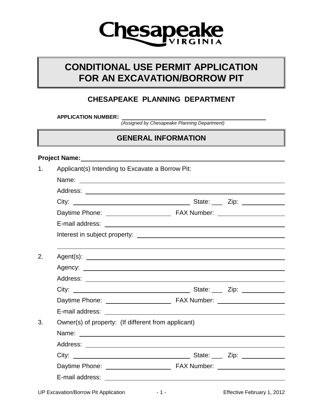

# **CONDITIONAL USE PERMIT APPLICATION FOR AN EXCAVATION/BORROW PIT**

## **CHESAPEAKE PLANNING DEPARTMENT**

**APPLICATION NUMBER:** 

*(Assigned by Chesapeake Planning Department)*

## **GENERAL INFORMATION**

#### **Project Name:**

| 1. | Applicant(s) Intending to Excavate a Borrow Pit:    |  |  |  |
|----|-----------------------------------------------------|--|--|--|
|    |                                                     |  |  |  |
|    |                                                     |  |  |  |
|    |                                                     |  |  |  |
|    |                                                     |  |  |  |
|    |                                                     |  |  |  |
|    |                                                     |  |  |  |
|    |                                                     |  |  |  |
| 2. |                                                     |  |  |  |
|    |                                                     |  |  |  |
|    |                                                     |  |  |  |
|    |                                                     |  |  |  |
|    |                                                     |  |  |  |
|    |                                                     |  |  |  |
| 3. | Owner(s) of property: (If different from applicant) |  |  |  |
|    |                                                     |  |  |  |
|    |                                                     |  |  |  |
|    |                                                     |  |  |  |
|    |                                                     |  |  |  |
|    |                                                     |  |  |  |
|    |                                                     |  |  |  |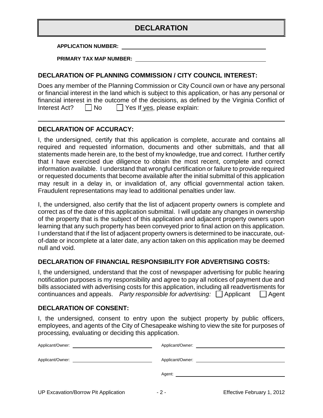## **DECLARATION**

**APPLICATION NUMBER:**

**PRIMARY TAX MAP NUMBER:**

#### **DECLARATION OF PLANNING COMMISSION / CITY COUNCIL INTEREST:**

Does any member of the Planning Commission or City Council own or have any personal or financial interest in the land which is subject to this application, or has any personal or financial interest in the outcome of the decisions, as defined by the Virginia Conflict of Interest Act?  $\Box$  No  $\Box$  Yes If yes, please explain:

### **DECLARATION OF ACCURACY:**

I, the undersigned, certify that this application is complete, accurate and contains all required and requested information, documents and other submittals, and that all statements made herein are, to the best of my knowledge, true and correct. I further certify that I have exercised due diligence to obtain the most recent, complete and correct information available. I understand that wrongful certification or failure to provide required or requested documents that become available after the initial submittal of this application may result in a delay in, or invalidation of, any official governmental action taken. Fraudulent representations may lead to additional penalties under law.

I, the undersigned, also certify that the list of adjacent property owners is complete and correct as of the date of this application submittal. I will update any changes in ownership of the property that is the subject of this application and adjacent property owners upon learning that any such property has been conveyed prior to final action on this application. I understand that if the list of adjacent property owners is determined to be inaccurate, outof-date or incomplete at a later date, any action taken on this application may be deemed null and void.

#### **DECLARATION OF FINANCIAL RESPONSIBILITY FOR ADVERTISING COSTS:**

I, the undersigned, understand that the cost of newspaper advertising for public hearing notification purposes is my responsibility and agree to pay all notices of payment due and bills associated with advertising costs for this application, including all readvertisments for continuances and appeals. *Party responsible for advertising:*  $\Box$  Applicant  $\Box$  Agent

#### **DECLARATION OF CONSENT:**

I, the undersigned, consent to entry upon the subject property by public officers, employees, and agents of the City of Chesapeake wishing to view the site for purposes of processing, evaluating or deciding this application.

| Agent: Agent and the state of the state of the state of the state of the state of the state of the state of the state of the state of the state of the state of the state of the state of the state of the state of the state |
|-------------------------------------------------------------------------------------------------------------------------------------------------------------------------------------------------------------------------------|
|                                                                                                                                                                                                                               |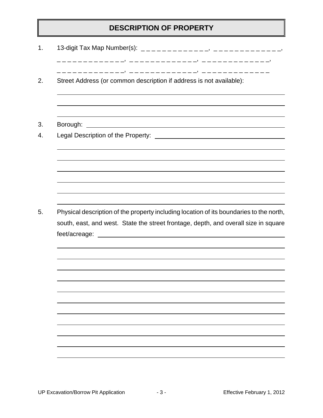## **DESCRIPTION OF PROPERTY**

|          | Street Address (or common description if address is not available):                                                                                                            |
|----------|--------------------------------------------------------------------------------------------------------------------------------------------------------------------------------|
| Borough: | <u> 1980 - Jan Samuel Barbara, martin di sebagai personal di sebagai personal di sebagai personal di sebagai per</u>                                                           |
|          |                                                                                                                                                                                |
|          |                                                                                                                                                                                |
|          |                                                                                                                                                                                |
|          |                                                                                                                                                                                |
|          |                                                                                                                                                                                |
|          |                                                                                                                                                                                |
|          |                                                                                                                                                                                |
|          |                                                                                                                                                                                |
|          |                                                                                                                                                                                |
|          |                                                                                                                                                                                |
|          |                                                                                                                                                                                |
|          |                                                                                                                                                                                |
|          | Physical description of the property including location of its boundaries to the north,<br>south, east, and west. State the street frontage, depth, and overall size in square |
|          |                                                                                                                                                                                |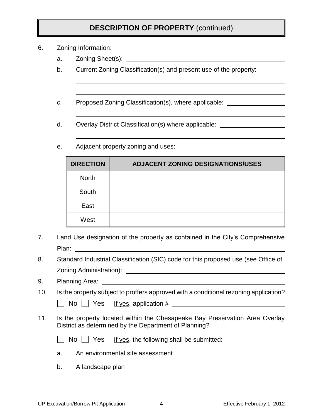## **DESCRIPTION OF PROPERTY** (continued)

- 6. Zoning Information:
	- a. Zoning Sheet(s):
	- b. Current Zoning Classification(s) and present use of the property:
	- c. Proposed Zoning Classification(s), where applicable:
	- d. Overlay District Classification(s) where applicable:
	- e. Adjacent property zoning and uses:

| <b>DIRECTION</b> | <b>ADJACENT ZONING DESIGNATIONS/USES</b> |
|------------------|------------------------------------------|
| <b>North</b>     |                                          |
| South            |                                          |
| East             |                                          |
| West             |                                          |

- 7. Land Use designation of the property as contained in the City's Comprehensive Plan: **Plane**
- 8. Standard Industrial Classification (SIC) code for this proposed use (see Office of Zoning Administration):
- 9. Planning Area:
- 10. Is the property subject to proffers approved with a conditional rezoning application?

No Yes If yes, application #

- 11. Is the property located within the Chesapeake Bay Preservation Area Overlay District as determined by the Department of Planning?
	- $\Box$  No  $\Box$  Yes If yes, the following shall be submitted:
	- a. An environmental site assessment
	- b. A landscape plan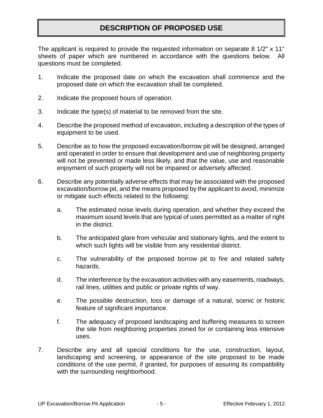## **DESCRIPTION OF PROPOSED USE**

The applicant is required to provide the requested information on separate 8 1/2" x 11" sheets of paper which are numbered in accordance with the questions below. All questions must be completed.

- 1. Indicate the proposed date on which the excavation shall commence and the proposed date on which the excavation shall be completed.
- 2. Indicate the proposed hours of operation.
- 3. Indicate the type(s) of material to be removed from the site.
- 4. Describe the proposed method of excavation, including a description of the types of equipment to be used.
- 5. Describe as to how the proposed excavation/borrow pit will be designed, arranged and operated in order to ensure that development and use of neighboring property will not be prevented or made less likely, and that the value, use and reasonable enjoyment of such property will not be impaired or adversely affected.
- 6. Describe any potentially adverse effects that may be associated with the proposed excavation/borrow pit, and the means proposed by the applicant to avoid, minimize or mitigate such effects related to the following:
	- a. The estimated noise levels during operation, and whether they exceed the maximum sound levels that are typical of uses permitted as a matter of right in the district.
	- b. The anticipated glare from vehicular and stationary lights, and the extent to which such lights will be visible from any residential district.
	- c. The vulnerability of the proposed borrow pit to fire and related safety hazards.
	- d. The interference by the excavation activities with any easements, roadways, rail lines, utilities and public or private rights of way.
	- e. The possible destruction, loss or damage of a natural, scenic or historic feature of significant importance.
	- f. The adequacy of proposed landscaping and buffering measures to screen the site from neighboring properties zoned for or containing less intensive uses.
- 7. Describe any and all special conditions for the use, construction, layout, landscaping and screening, or appearance of the site proposed to be made conditions of the use permit, if granted, for purposes of assuring its compatibility with the surrounding neighborhood.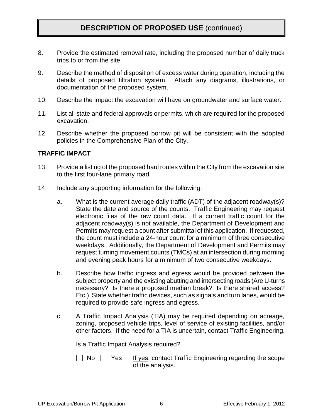## **DESCRIPTION OF PROPOSED USE** (continued)

- 8. Provide the estimated removal rate, including the proposed number of daily truck trips to or from the site.
- 9. Describe the method of disposition of excess water during operation, including the details of proposed filtration system. Attach any diagrams, illustrations, or documentation of the proposed system.
- 10. Describe the impact the excavation will have on groundwater and surface water.
- 11. List all state and federal approvals or permits, which are required for the proposed excavation.
- 12. Describe whether the proposed borrow pit will be consistent with the adopted policies in the Comprehensive Plan of the City.

#### **TRAFFIC IMPACT**

- 13. Provide a listing of the proposed haul routes within the City from the excavation site to the first four-lane primary road.
- 14. Include any supporting information for the following:
	- a. What is the current average daily traffic (ADT) of the adjacent roadway(s)? State the date and source of the counts. Traffic Engineering may request electronic files of the raw count data. If a current traffic count for the adjacent roadway(s) is not available, the Department of Development and Permits may request a count after submittal of this application. If requested, the count must include a 24-hour count for a minimum of three consecutive weekdays. Additionally, the Department of Development and Permits may request turning movement counts (TMCs) at an intersection during morning and evening peak hours for a minimum of two consecutive weekdays.
	- b. Describe how traffic ingress and egress would be provided between the subject property and the existing abutting and intersecting roads (Are U-turns necessary? Is there a proposed median break? Is there shared access? Etc.) State whether traffic devices, such as signals and turn lanes, would be required to provide safe ingress and egress.
	- c. A Traffic Impact Analysis (TIA) may be required depending on acreage, zoning, proposed vehicle trips, level of service of existing facilities, and/or other factors. If the need for a TIA is uncertain, contact Traffic Engineering.

Is a Traffic Impact Analysis required?

 $\vert \ \vert$  No  $\vert \ \vert$  Yes If yes, contact Traffic Engineering regarding the scope of the analysis.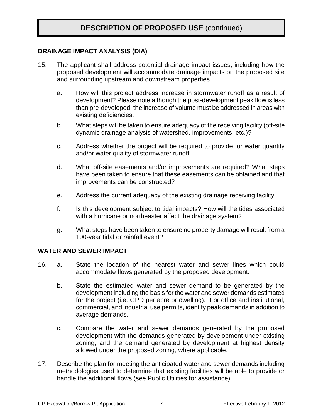## **DESCRIPTION OF PROPOSED USE** (continued)

#### **DRAINAGE IMPACT ANALYSIS (DIA)**

- 15. The applicant shall address potential drainage impact issues, including how the proposed development will accommodate drainage impacts on the proposed site and surrounding upstream and downstream properties.
	- a. How will this project address increase in stormwater runoff as a result of development? Please note although the post-development peak flow is less than pre-developed, the increase of volume must be addressed in areas with existing deficiencies.
	- b. What steps will be taken to ensure adequacy of the receiving facility (off-site dynamic drainage analysis of watershed, improvements, etc.)?
	- c. Address whether the project will be required to provide for water quantity and/or water quality of stormwater runoff.
	- d. What off-site easements and/or improvements are required? What steps have been taken to ensure that these easements can be obtained and that improvements can be constructed?
	- e. Address the current adequacy of the existing drainage receiving facility.
	- f. Is this development subject to tidal impacts? How will the tides associated with a hurricane or northeaster affect the drainage system?
	- g. What steps have been taken to ensure no property damage will result from a 100-year tidal or rainfall event?

#### **WATER AND SEWER IMPACT**

- 16. a. State the location of the nearest water and sewer lines which could accommodate flows generated by the proposed development.
	- b. State the estimated water and sewer demand to be generated by the development including the basis for the water and sewer demands estimated for the project (i.e. GPD per acre or dwelling). For office and institutional, commercial, and industrial use permits, identify peak demands in addition to average demands.
	- c. Compare the water and sewer demands generated by the proposed development with the demands generated by development under existing zoning, and the demand generated by development at highest density allowed under the proposed zoning, where applicable.
- 17. Describe the plan for meeting the anticipated water and sewer demands including methodologies used to determine that existing facilities will be able to provide or handle the additional flows (see Public Utilities for assistance).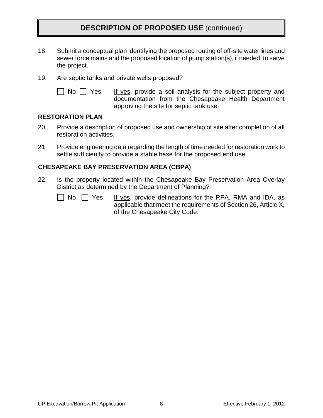## **DESCRIPTION OF PROPOSED USE** (continued)

- 18. Submit a conceptual plan identifying the proposed routing of off-site water lines and sewer force mains and the proposed location of pump station(s), if needed, to serve the project.
- 19. Are septic tanks and private wells proposed?
	-

 $\Box$  No  $\Box$  Yes If yes, provide a soil analysis for the subject property and documentation from the Chesapeake Health Department approving the site for septic tank use.

#### **RESTORATION PLAN**

- 20. Provide a description of proposed use and ownership of site after completion of all restoration activities.
- 21. Provide engineering data regarding the length of time needed for restoration work to settle sufficiently to provide a stable base for the proposed end use.

### **CHESAPEAKE BAY PRESERVATION AREA (CBPA)**

22. Is the property located within the Chesapeake Bay Preservation Area Overlay District as determined by the Department of Planning?

|  | No |  | ρ٢ |
|--|----|--|----|
|--|----|--|----|

s If yes, provide delineations for the RPA, RMA and IDA, as applicable that meet the requirements of Section 26, Article X, of the Chesapeake City Code.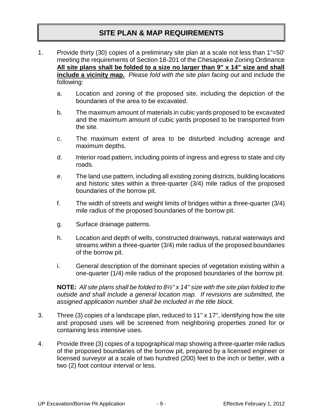## **SITE PLAN & MAP REQUIREMENTS**

- 1. Provide thirty (30) copies of a preliminary site plan at a scale not less than 1"=50' meeting the requirements of Section 18-201 of the Chesapeake Zoning Ordinance **All site plans shall be folded to a size no larger than 9" x 14" size and shall include a vicinity map.** *Please fold with the site plan facing out* and include the following:
	- a. Location and zoning of the proposed site, including the depiction of the boundaries of the area to be excavated.
	- b. The maximum amount of materials in cubic yards proposed to be excavated and the maximum amount of cubic yards proposed to be transported from the site.
	- c. The maximum extent of area to be disturbed including acreage and maximum depths.
	- d. Interior road pattern, including points of ingress and egress to state and city roads.
	- e. The land use pattern, including all existing zoning districts, building locations and historic sites within a three-quarter (3/4) mile radius of the proposed boundaries of the borrow pit.
	- f. The width of streets and weight limits of bridges within a three-quarter (3/4) mile radius of the proposed boundaries of the borrow pit.
	- g. Surface drainage patterns.
	- h. Location and depth of wells, constructed drainways, natural waterways and streams within a three-quarter (3/4) mile radius of the proposed boundaries of the borrow pit.
	- i. General description of the dominant species of vegetation existing within a one-quarter (1/4) mile radius of the proposed boundaries of the borrow pit.

**NOTE:** *All site plans shall be folded to 8½" x 14" size with the site plan folded to the outside and shall include a general location map. If revisions are submitted, the assigned application number shall be included in the title block.*

- 3. Three (3) copies of a landscape plan, reduced to 11" x 17", identifying how the site and proposed uses will be screened from neighboring properties zoned for or containing less intensive uses.
- 4. Provide three (3) copies of a topographical map showing a three-quarter mile radius of the proposed boundaries of the borrow pit, prepared by a licensed engineer or licensed surveyor at a scale of two hundred (200) feet to the inch or better, with a two (2) foot contour interval or less.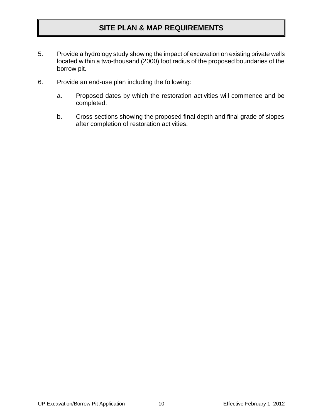## **SITE PLAN & MAP REQUIREMENTS**

- 5. Provide a hydrology study showing the impact of excavation on existing private wells located within a two-thousand (2000) foot radius of the proposed boundaries of the borrow pit.
- 6. Provide an end-use plan including the following:
	- a. Proposed dates by which the restoration activities will commence and be completed.
	- b. Cross-sections showing the proposed final depth and final grade of slopes after completion of restoration activities.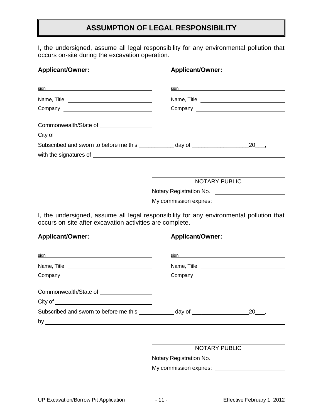## **ASSUMPTION OF LEGAL RESPONSIBILITY**

I, the undersigned, assume all legal responsibility for any environmental pollution that occurs on-site during the excavation operation.

# **Applicant/Owner: Applicant/Owner:** sign sign Name, Title Name, Title Company Company Company Company Company Company Company Company Company Company Company Company Company Company Company Company Company Company Company Company Company Company Company Company Company Company Company Compan Commonwealth/State of City of Subscribed and sworn to before me this \_\_\_\_\_\_\_\_\_\_\_ day of \_\_\_\_\_\_\_\_\_\_\_\_\_\_\_\_\_\_\_\_\_\_\_20\_\_\_, with the signatures of NOTARY PUBLIC Notary Registration No. My commission expires:

I, the undersigned, assume all legal responsibility for any environmental pollution that occurs on-site after excavation activities are complete.

#### **Applicant/Owner: Applicant/Owner:**

| sign sign and the state of the state of the state of the state of the state of the state of the state of the state of the state of the state of the state of the state of the state of the state of the state of the state of | sign sign and the state of the state of the state of the state of the state of the state of the state of the state of the state of the state of the state of the state of the state of the state of the state of the state of |     |
|-------------------------------------------------------------------------------------------------------------------------------------------------------------------------------------------------------------------------------|-------------------------------------------------------------------------------------------------------------------------------------------------------------------------------------------------------------------------------|-----|
| Name, Title                                                                                                                                                                                                                   | Name, Title                                                                                                                                                                                                                   |     |
|                                                                                                                                                                                                                               |                                                                                                                                                                                                                               |     |
|                                                                                                                                                                                                                               |                                                                                                                                                                                                                               |     |
| Commonwealth/State of ___________________                                                                                                                                                                                     |                                                                                                                                                                                                                               |     |
|                                                                                                                                                                                                                               |                                                                                                                                                                                                                               |     |
| Subscribed and sworn to before me this ____________ day of _____________________                                                                                                                                              |                                                                                                                                                                                                                               | 20, |
|                                                                                                                                                                                                                               |                                                                                                                                                                                                                               |     |

#### NOTARY PUBLIC

Notary Registration No.

My commission expires: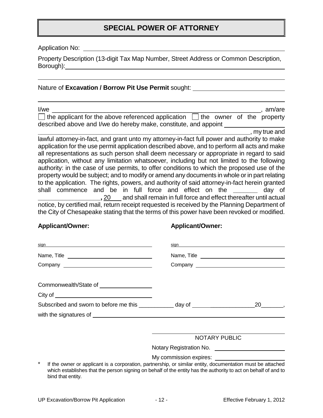## **SPECIAL POWER OF ATTORNEY**

Application No:

Property Description (13-digit Tax Map Number, Street Address or Common Description, Borough):

Nature of **Excavation / Borrow Pit Use Permit** sought:

| l/we                                                                                       |  |  | . am/are |
|--------------------------------------------------------------------------------------------|--|--|----------|
| $\Box$ the applicant for the above referenced application $\Box$ the owner of the property |  |  |          |
| described above and I/we do hereby make, constitute, and appoint                           |  |  |          |

**\_\_\_\_\_\_\_\_\_\_\_\_\_\_\_\_\_\_\_\_\_\_\_\_\_\_\_\_\_\_\_\_\_\_\_\_\_\_\_\_\_\_\_\_\_\_\_\_\_\_\_\_\_\_\_\_\_\_\_\_\_**, my true and lawful attorney-in-fact, and grant unto my attorney-in-fact full power and authority to make application for the use permit application described above, and to perform all acts and make all representations as such person shall deem necessary or appropriate in regard to said application, without any limitation whatsoever, including but not limited to the following authority: in the case of use permits, to offer conditions to which the proposed use of the property would be subject; and to modify or amend any documents in whole or in part relating to the application. The rights, powers, and authority of said attorney-in-fact herein granted shall commence and be in full force and effect on the **\_\_\_\_\_\_\_** day of **\_\_\_\_\_\_\_\_\_\_\_\_\_\_\_\_\_\_,** 20 and shall remain in full force and effect thereafter until actual notice, by certified mail, return receipt requested is received by the Planning Department of the City of Chesapeake stating that the terms of this power have been revoked or modified.

#### **Applicant/Owner: Applicant/Owner:**

|  | sign sign state and the state of the state of the state of the state of the state of the state of the state of |
|--|----------------------------------------------------------------------------------------------------------------|
|  |                                                                                                                |
|  |                                                                                                                |
|  |                                                                                                                |
|  |                                                                                                                |
|  |                                                                                                                |
|  |                                                                                                                |
|  |                                                                                                                |

#### NOTARY PUBLIC

Notary Registration No.

My commission expires:

If the owner or applicant is a corporation, partnership, or similar entity, documentation must be attached which establishes that the person signing on behalf of the entity has the authority to act on behalf of and to bind that entity.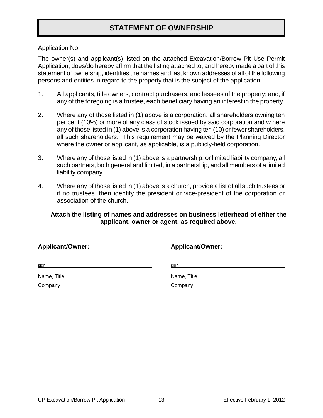## **STATEMENT OF OWNERSHIP**

Application No:

The owner(s) and applicant(s) listed on the attached Excavation/Borrow Pit Use Permit Application, does/do hereby affirm that the listing attached to, and hereby made a part of this statement of ownership, identifies the names and last known addresses of all of the following persons and entities in regard to the property that is the subject of the application:

- 1. All applicants, title owners, contract purchasers, and lessees of the property; and, if any of the foregoing is a trustee, each beneficiary having an interest in the property.
- 2. Where any of those listed in (1) above is a corporation, all shareholders owning ten per cent (10%) or more of any class of stock issued by said corporation and w here any of those listed in (1) above is a corporation having ten (10) or fewer shareholders, all such shareholders. This requirement may be waived by the Planning Director where the owner or applicant, as applicable, is a publicly-held corporation.
- 3. Where any of those listed in (1) above is a partnership, or limited liability company, all such partners, both general and limited, in a partnership, and all members of a limited liability company.
- 4. Where any of those listed in (1) above is a church, provide a list of all such trustees or if no trustees, then identify the president or vice-president of the corporation or association of the church.

### **Attach the listing of names and addresses on business letterhead of either the applicant, owner or agent, as required above.**

| <b>Applicant/Owner:</b> | <b>Applicant/Owner:</b>                                                                                       |  |  |
|-------------------------|---------------------------------------------------------------------------------------------------------------|--|--|
| <u>sign</u>             | sign and the state of the state of the state of the state of the state of the state of the state of the state |  |  |
| Name, Title             | Name, Title <b>Name</b>                                                                                       |  |  |
| Company                 |                                                                                                               |  |  |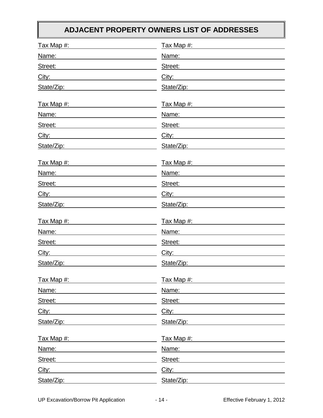## **ADJACENT PROPERTY OWNERS LIST OF ADDRESSES**

| Tax Map #:                                                                                                                                                                                                                                      | Tax Map #:            |
|-------------------------------------------------------------------------------------------------------------------------------------------------------------------------------------------------------------------------------------------------|-----------------------|
| Name:                                                                                                                                                                                                                                           | Name:                 |
| Street:<br><u> 1989 - Johann Barn, amerikansk politiker (</u>                                                                                                                                                                                   | Street:               |
| City:                                                                                                                                                                                                                                           | City:                 |
| State/Zip:                                                                                                                                                                                                                                      | State/Zip:            |
| <u>Tax Map #:</u>                                                                                                                                                                                                                               | Tax Map #: Tax Map #: |
| Name:                                                                                                                                                                                                                                           | Name:                 |
| Street:                                                                                                                                                                                                                                         | Street:               |
| City:<br><u> 1989 - Johann Barbara, martxa amerikan personal (</u>                                                                                                                                                                              | City:                 |
| State/Zip:<br><u> 1989 - Johann Harry Communication (b. 1989)</u>                                                                                                                                                                               | State/Zip:            |
|                                                                                                                                                                                                                                                 |                       |
| Name:<br><u> 1989 - Johann Barbara, martin a</u>                                                                                                                                                                                                | Name:                 |
| Street:                                                                                                                                                                                                                                         | Street:               |
| City:<br><u> 1980 - Johann Barnett, fransk politiker (d. 1980)</u>                                                                                                                                                                              | City:                 |
| State/Zip:                                                                                                                                                                                                                                      | State/Zip:            |
| <u>Tax Map #:</u>                                                                                                                                                                                                                               | Tax Map #:            |
| Name:                                                                                                                                                                                                                                           | Name:                 |
| Street:<br><u> Andreas Andreas Andreas Andreas Andreas Andreas Andreas Andreas Andreas Andreas Andreas Andreas Andreas Andreas Andreas Andreas Andreas Andreas Andreas Andreas Andreas Andreas Andreas Andreas Andreas Andreas Andreas Andr</u> | Street:               |
| City:                                                                                                                                                                                                                                           | City:                 |
| State/Zip:                                                                                                                                                                                                                                      | State/Zip:            |
| <u>Tax Map #:</u>                                                                                                                                                                                                                               | Tax Map #:            |
| Name:                                                                                                                                                                                                                                           | Name:                 |
| Street:                                                                                                                                                                                                                                         | Street:               |
| City:                                                                                                                                                                                                                                           | City:                 |
| State/Zip:                                                                                                                                                                                                                                      | State/Zip:            |
| Tax Map #:                                                                                                                                                                                                                                      | Tax Map #:            |
| Name:                                                                                                                                                                                                                                           | Name:                 |
| Street:                                                                                                                                                                                                                                         | Street:               |
| City:                                                                                                                                                                                                                                           | City:                 |
| State/Zip:                                                                                                                                                                                                                                      | State/Zip:            |